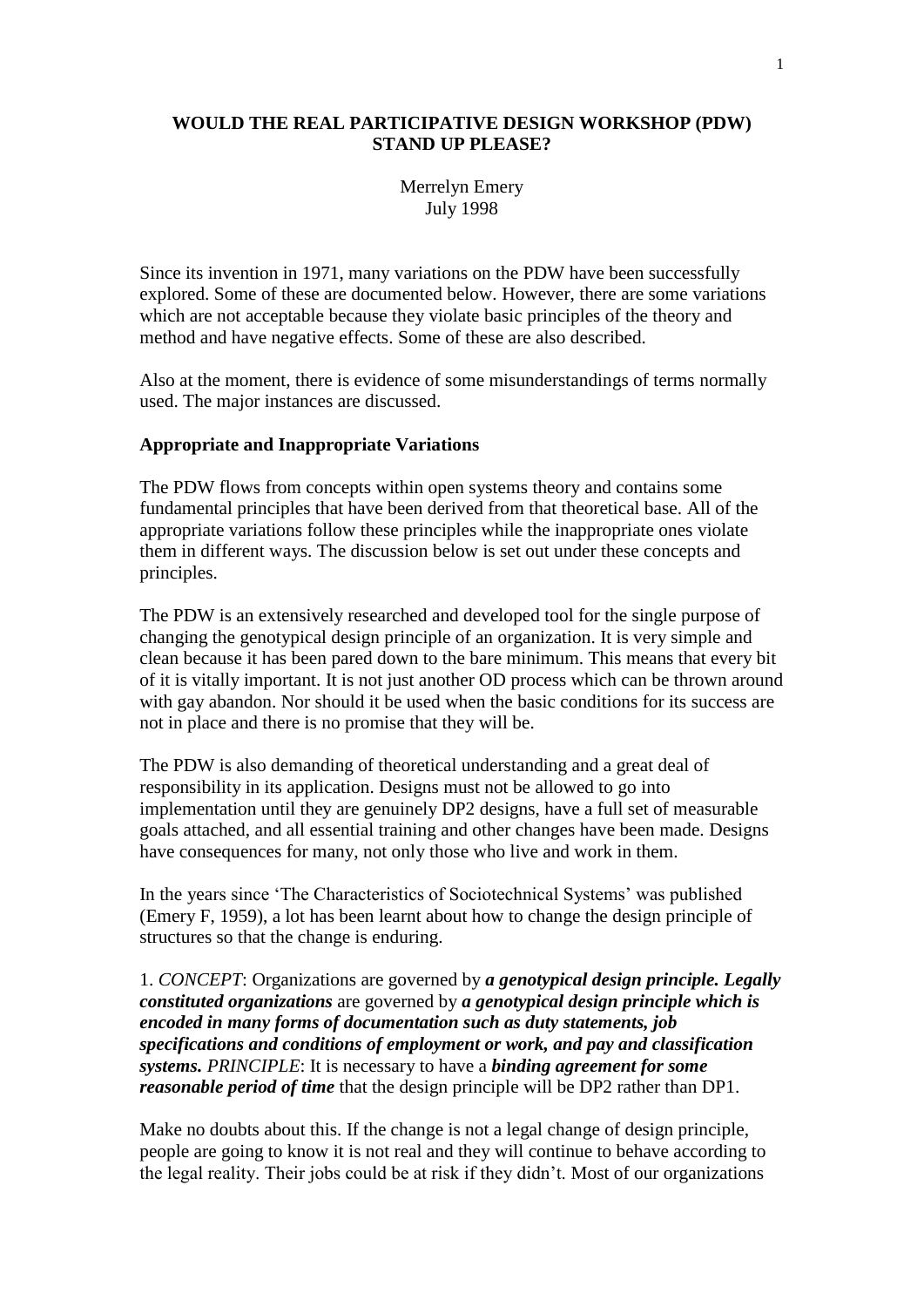### **WOULD THE REAL PARTICIPATIVE DESIGN WORKSHOP (PDW) STAND UP PLEASE?**

## Merrelyn Emery July 1998

Since its invention in 1971, many variations on the PDW have been successfully explored. Some of these are documented below. However, there are some variations which are not acceptable because they violate basic principles of the theory and method and have negative effects. Some of these are also described.

Also at the moment, there is evidence of some misunderstandings of terms normally used. The major instances are discussed.

#### **Appropriate and Inappropriate Variations**

The PDW flows from concepts within open systems theory and contains some fundamental principles that have been derived from that theoretical base. All of the appropriate variations follow these principles while the inappropriate ones violate them in different ways. The discussion below is set out under these concepts and principles.

The PDW is an extensively researched and developed tool for the single purpose of changing the genotypical design principle of an organization. It is very simple and clean because it has been pared down to the bare minimum. This means that every bit of it is vitally important. It is not just another OD process which can be thrown around with gay abandon. Nor should it be used when the basic conditions for its success are not in place and there is no promise that they will be.

The PDW is also demanding of theoretical understanding and a great deal of responsibility in its application. Designs must not be allowed to go into implementation until they are genuinely DP2 designs, have a full set of measurable goals attached, and all essential training and other changes have been made. Designs have consequences for many, not only those who live and work in them.

In the years since 'The Characteristics of Sociotechnical Systems' was published (Emery F, 1959), a lot has been learnt about how to change the design principle of structures so that the change is enduring.

1. *CONCEPT*: Organizations are governed by *a genotypical design principle. Legally constituted organizations* are governed by *a genotypical design principle which is encoded in many forms of documentation such as duty statements, job specifications and conditions of employment or work, and pay and classification systems. PRINCIPLE*: It is necessary to have a *binding agreement for some reasonable period of time* that the design principle will be DP2 rather than DP1.

Make no doubts about this. If the change is not a legal change of design principle, people are going to know it is not real and they will continue to behave according to the legal reality. Their jobs could be at risk if they didn't. Most of our organizations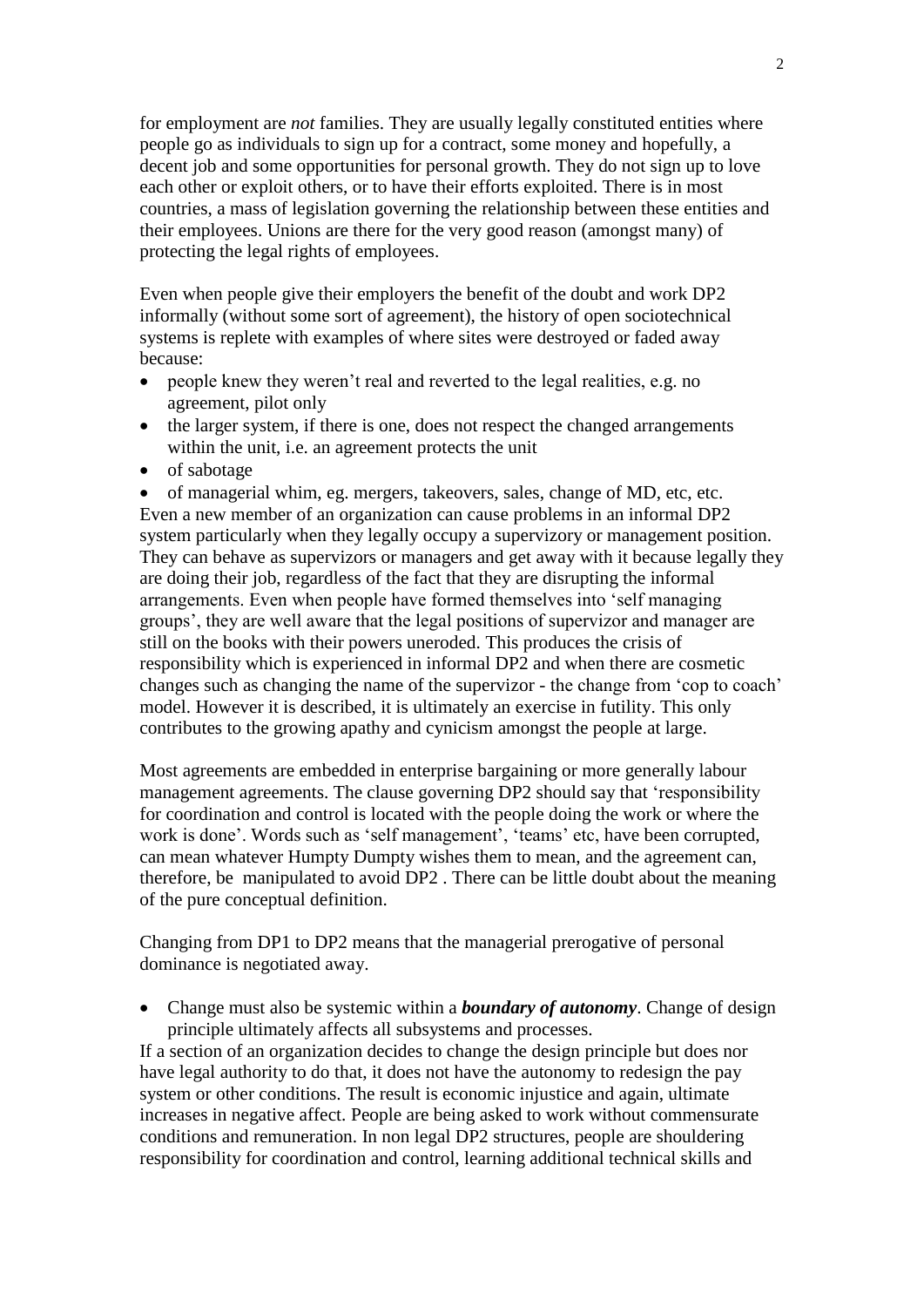for employment are *not* families. They are usually legally constituted entities where people go as individuals to sign up for a contract, some money and hopefully, a decent job and some opportunities for personal growth. They do not sign up to love each other or exploit others, or to have their efforts exploited. There is in most countries, a mass of legislation governing the relationship between these entities and their employees. Unions are there for the very good reason (amongst many) of protecting the legal rights of employees.

Even when people give their employers the benefit of the doubt and work DP2 informally (without some sort of agreement), the history of open sociotechnical systems is replete with examples of where sites were destroyed or faded away because:

- people knew they weren't real and reverted to the legal realities, e.g. no agreement, pilot only
- the larger system, if there is one, does not respect the changed arrangements within the unit, i.e. an agreement protects the unit
- of sabotage

• of managerial whim, eg. mergers, takeovers, sales, change of MD, etc, etc. Even a new member of an organization can cause problems in an informal DP2 system particularly when they legally occupy a supervizory or management position. They can behave as supervizors or managers and get away with it because legally they are doing their job, regardless of the fact that they are disrupting the informal arrangements. Even when people have formed themselves into 'self managing groups', they are well aware that the legal positions of supervizor and manager are still on the books with their powers uneroded. This produces the crisis of responsibility which is experienced in informal DP2 and when there are cosmetic changes such as changing the name of the supervizor - the change from 'cop to coach' model. However it is described, it is ultimately an exercise in futility. This only contributes to the growing apathy and cynicism amongst the people at large.

Most agreements are embedded in enterprise bargaining or more generally labour management agreements. The clause governing DP2 should say that 'responsibility for coordination and control is located with the people doing the work or where the work is done'. Words such as 'self management', 'teams' etc, have been corrupted, can mean whatever Humpty Dumpty wishes them to mean, and the agreement can, therefore, be manipulated to avoid DP2 . There can be little doubt about the meaning of the pure conceptual definition.

Changing from DP1 to DP2 means that the managerial prerogative of personal dominance is negotiated away.

• Change must also be systemic within a *boundary of autonomy*. Change of design principle ultimately affects all subsystems and processes.

If a section of an organization decides to change the design principle but does nor have legal authority to do that, it does not have the autonomy to redesign the pay system or other conditions. The result is economic injustice and again, ultimate increases in negative affect. People are being asked to work without commensurate conditions and remuneration. In non legal DP2 structures, people are shouldering responsibility for coordination and control, learning additional technical skills and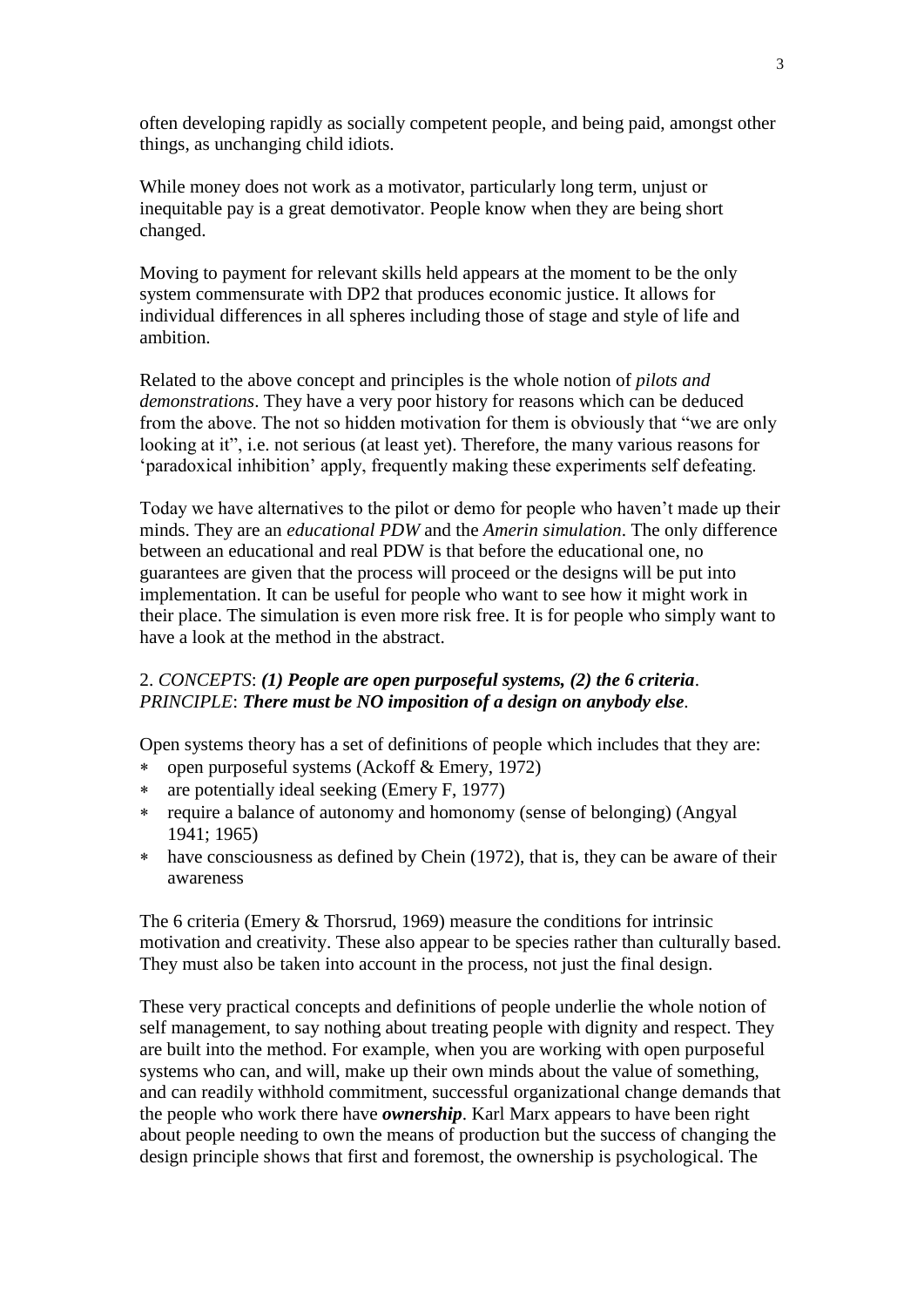often developing rapidly as socially competent people, and being paid, amongst other things, as unchanging child idiots.

While money does not work as a motivator, particularly long term, unjust or inequitable pay is a great demotivator. People know when they are being short changed.

Moving to payment for relevant skills held appears at the moment to be the only system commensurate with DP2 that produces economic justice. It allows for individual differences in all spheres including those of stage and style of life and ambition.

Related to the above concept and principles is the whole notion of *pilots and demonstrations*. They have a very poor history for reasons which can be deduced from the above. The not so hidden motivation for them is obviously that "we are only looking at it", i.e. not serious (at least yet). Therefore, the many various reasons for 'paradoxical inhibition' apply, frequently making these experiments self defeating.

Today we have alternatives to the pilot or demo for people who haven't made up their minds. They are an *educational PDW* and the *Amerin simulation*. The only difference between an educational and real PDW is that before the educational one, no guarantees are given that the process will proceed or the designs will be put into implementation. It can be useful for people who want to see how it might work in their place. The simulation is even more risk free. It is for people who simply want to have a look at the method in the abstract.

## 2. *CONCEPTS*: *(1) People are open purposeful systems, (2) the 6 criteria*. *PRINCIPLE*: *There must be NO imposition of a design on anybody else.*

Open systems theory has a set of definitions of people which includes that they are:

- open purposeful systems (Ackoff & Emery, 1972)
- are potentially ideal seeking (Emery F, 1977)
- require a balance of autonomy and homonomy (sense of belonging) (Angyal 1941; 1965)
- have consciousness as defined by Chein (1972), that is, they can be aware of their awareness

The 6 criteria (Emery & Thorsrud, 1969) measure the conditions for intrinsic motivation and creativity. These also appear to be species rather than culturally based. They must also be taken into account in the process, not just the final design.

These very practical concepts and definitions of people underlie the whole notion of self management, to say nothing about treating people with dignity and respect. They are built into the method. For example, when you are working with open purposeful systems who can, and will, make up their own minds about the value of something, and can readily withhold commitment, successful organizational change demands that the people who work there have *ownership*. Karl Marx appears to have been right about people needing to own the means of production but the success of changing the design principle shows that first and foremost, the ownership is psychological. The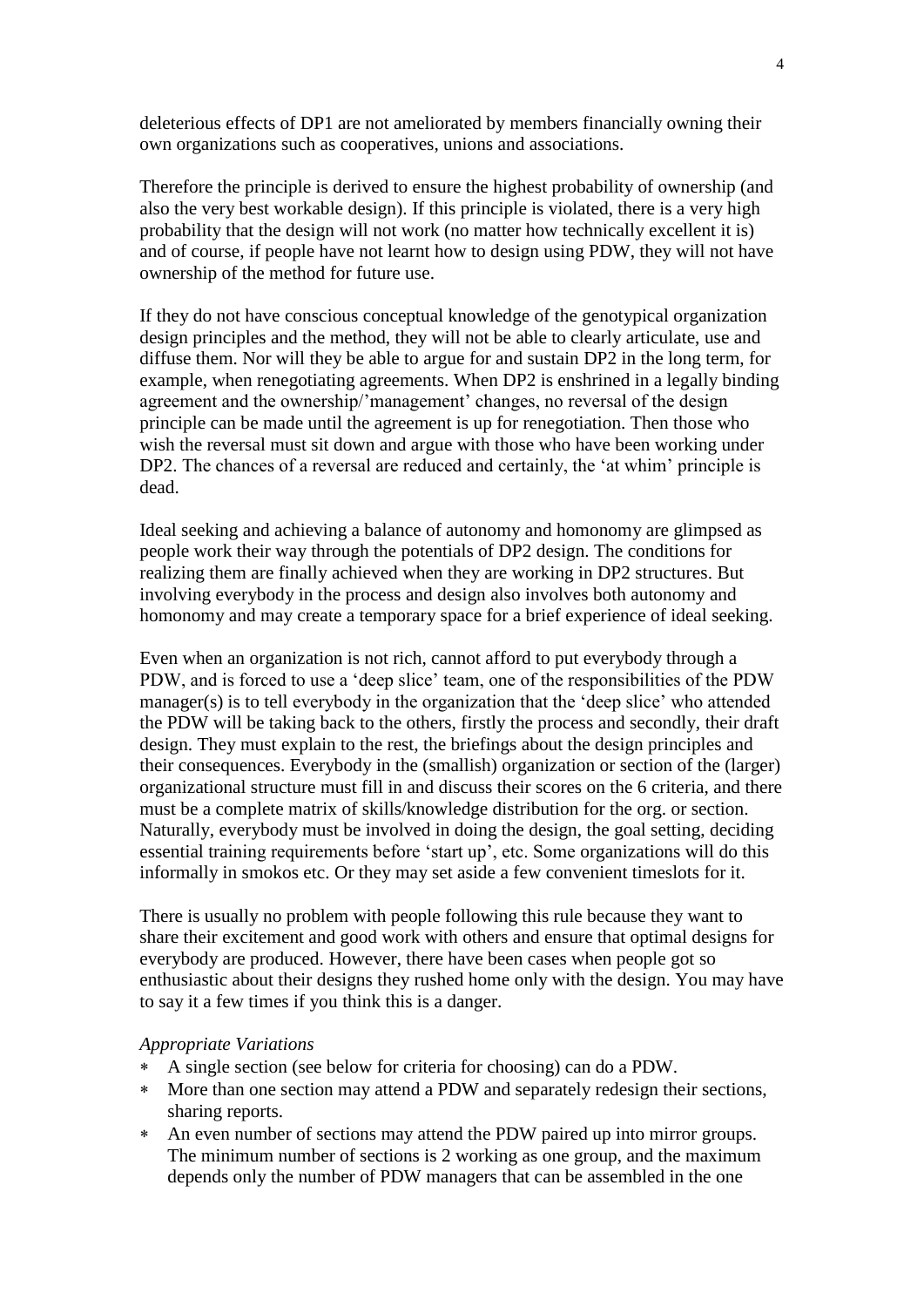deleterious effects of DP1 are not ameliorated by members financially owning their own organizations such as cooperatives, unions and associations.

Therefore the principle is derived to ensure the highest probability of ownership (and also the very best workable design). If this principle is violated, there is a very high probability that the design will not work (no matter how technically excellent it is) and of course, if people have not learnt how to design using PDW, they will not have ownership of the method for future use.

If they do not have conscious conceptual knowledge of the genotypical organization design principles and the method, they will not be able to clearly articulate, use and diffuse them. Nor will they be able to argue for and sustain DP2 in the long term, for example, when renegotiating agreements. When DP2 is enshrined in a legally binding agreement and the ownership/'management' changes, no reversal of the design principle can be made until the agreement is up for renegotiation. Then those who wish the reversal must sit down and argue with those who have been working under DP2. The chances of a reversal are reduced and certainly, the 'at whim' principle is dead.

Ideal seeking and achieving a balance of autonomy and homonomy are glimpsed as people work their way through the potentials of DP2 design. The conditions for realizing them are finally achieved when they are working in DP2 structures. But involving everybody in the process and design also involves both autonomy and homonomy and may create a temporary space for a brief experience of ideal seeking.

Even when an organization is not rich, cannot afford to put everybody through a PDW, and is forced to use a 'deep slice' team, one of the responsibilities of the PDW manager(s) is to tell everybody in the organization that the 'deep slice' who attended the PDW will be taking back to the others, firstly the process and secondly, their draft design. They must explain to the rest, the briefings about the design principles and their consequences. Everybody in the (smallish) organization or section of the (larger) organizational structure must fill in and discuss their scores on the 6 criteria, and there must be a complete matrix of skills/knowledge distribution for the org. or section. Naturally, everybody must be involved in doing the design, the goal setting, deciding essential training requirements before 'start up', etc. Some organizations will do this informally in smokos etc. Or they may set aside a few convenient timeslots for it.

There is usually no problem with people following this rule because they want to share their excitement and good work with others and ensure that optimal designs for everybody are produced. However, there have been cases when people got so enthusiastic about their designs they rushed home only with the design. You may have to say it a few times if you think this is a danger.

#### *Appropriate Variations*

- A single section (see below for criteria for choosing) can do a PDW.
- More than one section may attend a PDW and separately redesign their sections, sharing reports.
- An even number of sections may attend the PDW paired up into mirror groups. The minimum number of sections is 2 working as one group, and the maximum depends only the number of PDW managers that can be assembled in the one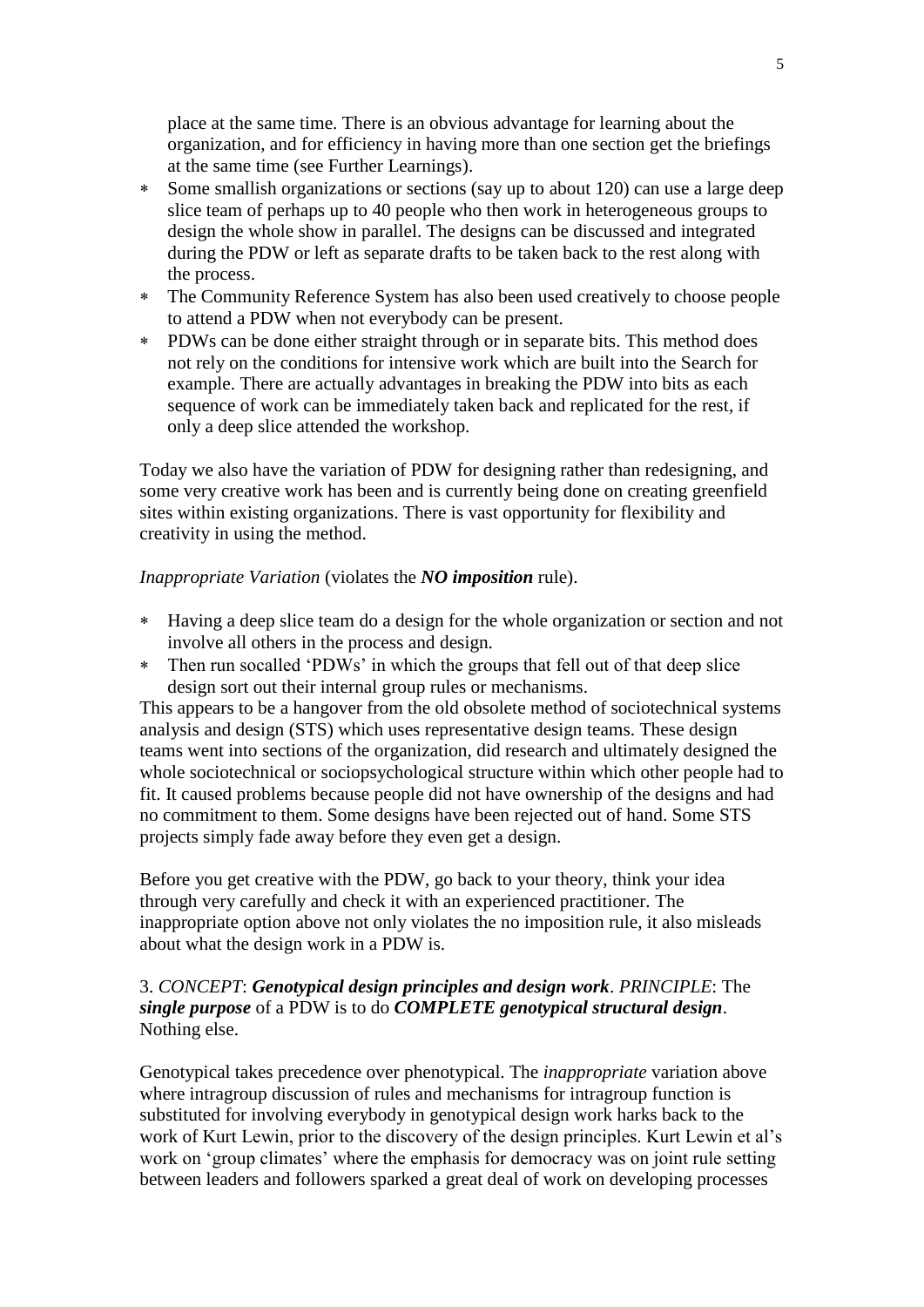place at the same time. There is an obvious advantage for learning about the organization, and for efficiency in having more than one section get the briefings at the same time (see Further Learnings).

- Some smallish organizations or sections (say up to about 120) can use a large deep slice team of perhaps up to 40 people who then work in heterogeneous groups to design the whole show in parallel. The designs can be discussed and integrated during the PDW or left as separate drafts to be taken back to the rest along with the process.
- The Community Reference System has also been used creatively to choose people to attend a PDW when not everybody can be present.
- PDWs can be done either straight through or in separate bits. This method does not rely on the conditions for intensive work which are built into the Search for example. There are actually advantages in breaking the PDW into bits as each sequence of work can be immediately taken back and replicated for the rest, if only a deep slice attended the workshop.

Today we also have the variation of PDW for designing rather than redesigning, and some very creative work has been and is currently being done on creating greenfield sites within existing organizations. There is vast opportunity for flexibility and creativity in using the method.

## *Inappropriate Variation* (violates the *NO imposition* rule).

- Having a deep slice team do a design for the whole organization or section and not involve all others in the process and design.
- Then run socalled 'PDWs' in which the groups that fell out of that deep slice design sort out their internal group rules or mechanisms.

This appears to be a hangover from the old obsolete method of sociotechnical systems analysis and design (STS) which uses representative design teams. These design teams went into sections of the organization, did research and ultimately designed the whole sociotechnical or sociopsychological structure within which other people had to fit. It caused problems because people did not have ownership of the designs and had no commitment to them. Some designs have been rejected out of hand. Some STS projects simply fade away before they even get a design.

Before you get creative with the PDW, go back to your theory, think your idea through very carefully and check it with an experienced practitioner. The inappropriate option above not only violates the no imposition rule, it also misleads about what the design work in a PDW is.

## 3. *CONCEPT*: *Genotypical design principles and design work*. *PRINCIPLE*: The *single purpose* of a PDW is to do *COMPLETE genotypical structural design*. Nothing else.

Genotypical takes precedence over phenotypical. The *inappropriate* variation above where intragroup discussion of rules and mechanisms for intragroup function is substituted for involving everybody in genotypical design work harks back to the work of Kurt Lewin, prior to the discovery of the design principles. Kurt Lewin et al's work on 'group climates' where the emphasis for democracy was on joint rule setting between leaders and followers sparked a great deal of work on developing processes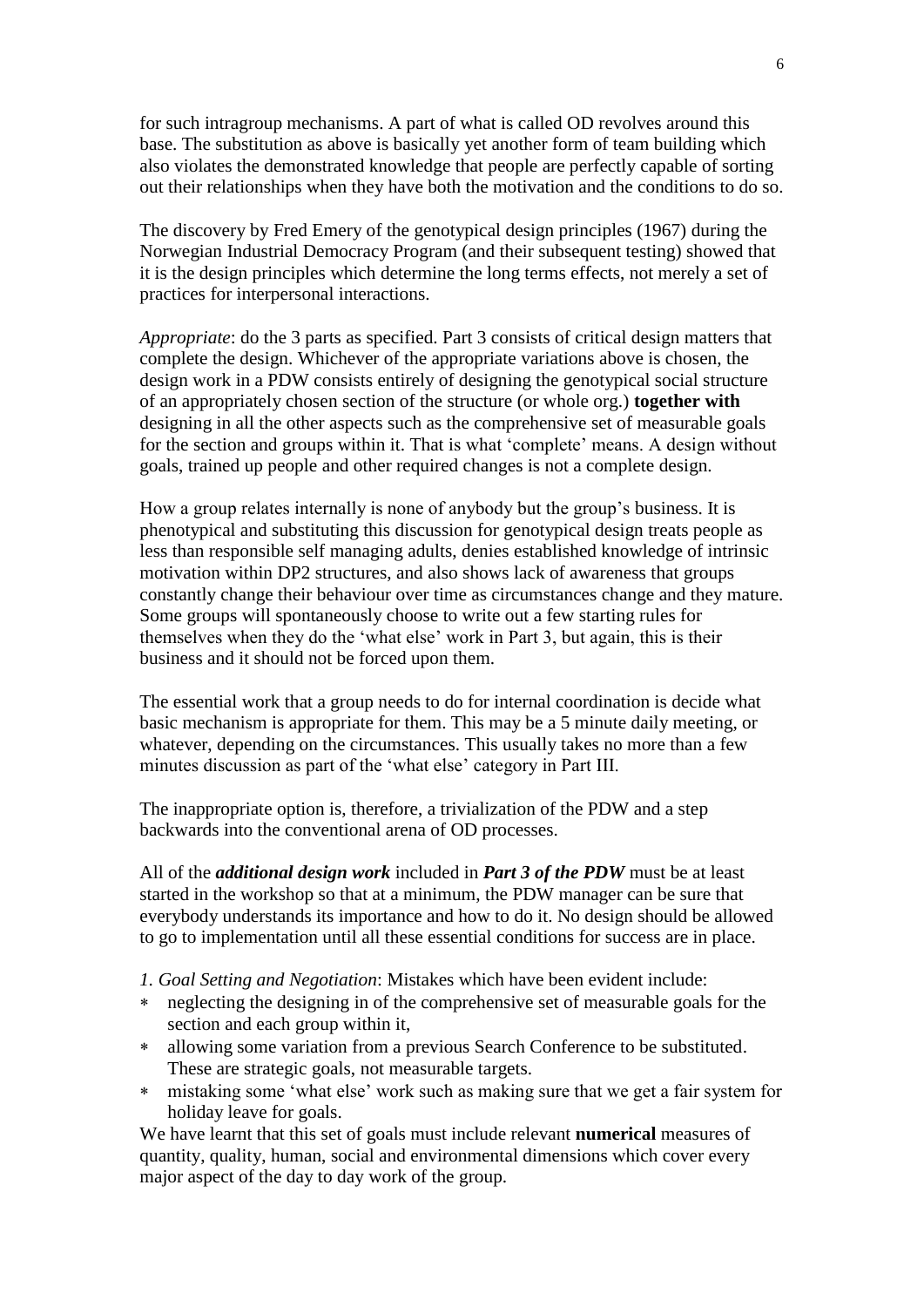for such intragroup mechanisms. A part of what is called OD revolves around this base. The substitution as above is basically yet another form of team building which also violates the demonstrated knowledge that people are perfectly capable of sorting out their relationships when they have both the motivation and the conditions to do so.

The discovery by Fred Emery of the genotypical design principles (1967) during the Norwegian Industrial Democracy Program (and their subsequent testing) showed that it is the design principles which determine the long terms effects, not merely a set of practices for interpersonal interactions.

*Appropriate*: do the 3 parts as specified. Part 3 consists of critical design matters that complete the design. Whichever of the appropriate variations above is chosen, the design work in a PDW consists entirely of designing the genotypical social structure of an appropriately chosen section of the structure (or whole org.) **together with** designing in all the other aspects such as the comprehensive set of measurable goals for the section and groups within it. That is what 'complete' means. A design without goals, trained up people and other required changes is not a complete design.

How a group relates internally is none of anybody but the group's business. It is phenotypical and substituting this discussion for genotypical design treats people as less than responsible self managing adults, denies established knowledge of intrinsic motivation within DP2 structures, and also shows lack of awareness that groups constantly change their behaviour over time as circumstances change and they mature. Some groups will spontaneously choose to write out a few starting rules for themselves when they do the 'what else' work in Part 3, but again, this is their business and it should not be forced upon them.

The essential work that a group needs to do for internal coordination is decide what basic mechanism is appropriate for them. This may be a 5 minute daily meeting, or whatever, depending on the circumstances. This usually takes no more than a few minutes discussion as part of the 'what else' category in Part III.

The inappropriate option is, therefore, a trivialization of the PDW and a step backwards into the conventional arena of OD processes.

All of the *additional design work* included in *Part 3 of the PDW* must be at least started in the workshop so that at a minimum, the PDW manager can be sure that everybody understands its importance and how to do it. No design should be allowed to go to implementation until all these essential conditions for success are in place.

*1. Goal Setting and Negotiation*: Mistakes which have been evident include:

- neglecting the designing in of the comprehensive set of measurable goals for the section and each group within it,
- allowing some variation from a previous Search Conference to be substituted. These are strategic goals, not measurable targets.
- mistaking some 'what else' work such as making sure that we get a fair system for holiday leave for goals.

We have learnt that this set of goals must include relevant **numerical** measures of quantity, quality, human, social and environmental dimensions which cover every major aspect of the day to day work of the group.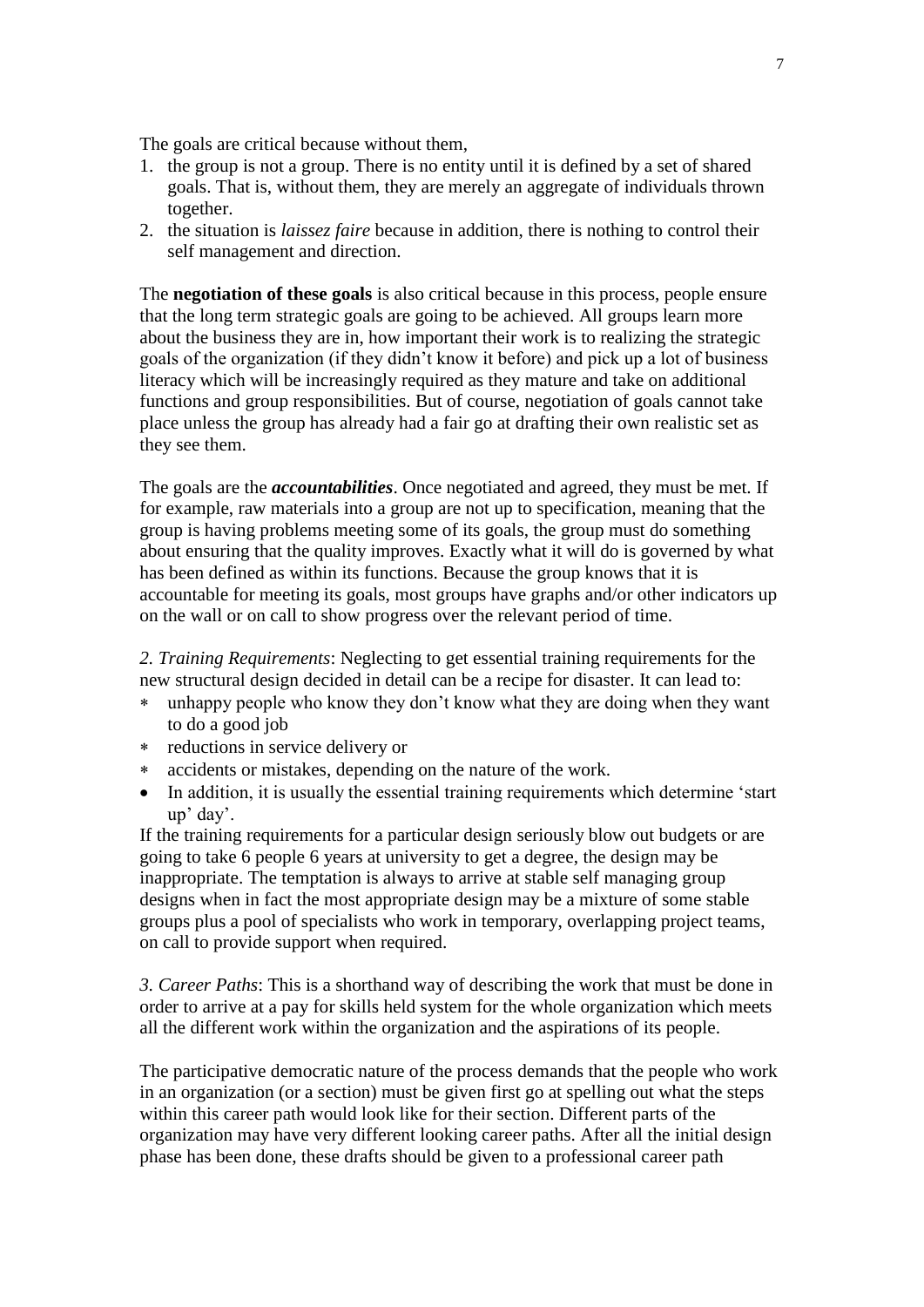The goals are critical because without them,

- 1. the group is not a group. There is no entity until it is defined by a set of shared goals. That is, without them, they are merely an aggregate of individuals thrown together.
- 2. the situation is *laissez faire* because in addition, there is nothing to control their self management and direction.

The **negotiation of these goals** is also critical because in this process, people ensure that the long term strategic goals are going to be achieved. All groups learn more about the business they are in, how important their work is to realizing the strategic goals of the organization (if they didn't know it before) and pick up a lot of business literacy which will be increasingly required as they mature and take on additional functions and group responsibilities. But of course, negotiation of goals cannot take place unless the group has already had a fair go at drafting their own realistic set as they see them.

The goals are the *accountabilities*. Once negotiated and agreed, they must be met. If for example, raw materials into a group are not up to specification, meaning that the group is having problems meeting some of its goals, the group must do something about ensuring that the quality improves. Exactly what it will do is governed by what has been defined as within its functions. Because the group knows that it is accountable for meeting its goals, most groups have graphs and/or other indicators up on the wall or on call to show progress over the relevant period of time.

*2. Training Requirements*: Neglecting to get essential training requirements for the new structural design decided in detail can be a recipe for disaster. It can lead to:

- unhappy people who know they don't know what they are doing when they want to do a good job
- reductions in service delivery or
- accidents or mistakes, depending on the nature of the work.
- In addition, it is usually the essential training requirements which determine 'start up' day'.

If the training requirements for a particular design seriously blow out budgets or are going to take 6 people 6 years at university to get a degree, the design may be inappropriate. The temptation is always to arrive at stable self managing group designs when in fact the most appropriate design may be a mixture of some stable groups plus a pool of specialists who work in temporary, overlapping project teams, on call to provide support when required.

*3. Career Paths*: This is a shorthand way of describing the work that must be done in order to arrive at a pay for skills held system for the whole organization which meets all the different work within the organization and the aspirations of its people.

The participative democratic nature of the process demands that the people who work in an organization (or a section) must be given first go at spelling out what the steps within this career path would look like for their section. Different parts of the organization may have very different looking career paths. After all the initial design phase has been done, these drafts should be given to a professional career path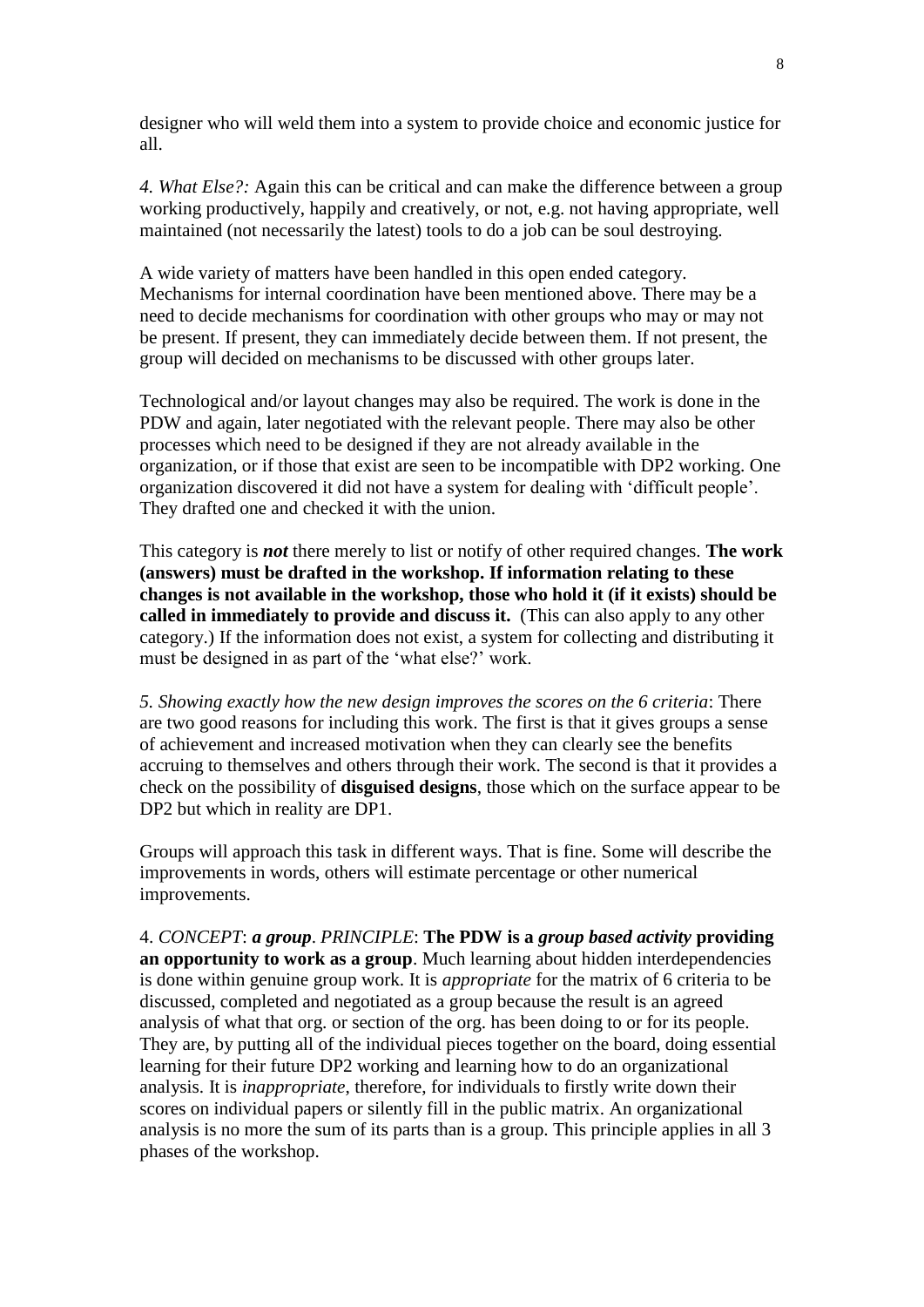designer who will weld them into a system to provide choice and economic justice for all.

*4. What Else?:* Again this can be critical and can make the difference between a group working productively, happily and creatively, or not, e.g. not having appropriate, well maintained (not necessarily the latest) tools to do a job can be soul destroying.

A wide variety of matters have been handled in this open ended category. Mechanisms for internal coordination have been mentioned above. There may be a need to decide mechanisms for coordination with other groups who may or may not be present. If present, they can immediately decide between them. If not present, the group will decided on mechanisms to be discussed with other groups later.

Technological and/or layout changes may also be required. The work is done in the PDW and again, later negotiated with the relevant people. There may also be other processes which need to be designed if they are not already available in the organization, or if those that exist are seen to be incompatible with DP2 working. One organization discovered it did not have a system for dealing with 'difficult people'. They drafted one and checked it with the union.

This category is *not* there merely to list or notify of other required changes. **The work (answers) must be drafted in the workshop. If information relating to these changes is not available in the workshop, those who hold it (if it exists) should be called in immediately to provide and discuss it.** (This can also apply to any other category.) If the information does not exist, a system for collecting and distributing it must be designed in as part of the 'what else?' work.

*5. Showing exactly how the new design improves the scores on the 6 criteria*: There are two good reasons for including this work. The first is that it gives groups a sense of achievement and increased motivation when they can clearly see the benefits accruing to themselves and others through their work. The second is that it provides a check on the possibility of **disguised designs**, those which on the surface appear to be DP2 but which in reality are DP1.

Groups will approach this task in different ways. That is fine. Some will describe the improvements in words, others will estimate percentage or other numerical improvements.

4. *CONCEPT*: *a group*. *PRINCIPLE*: **The PDW is a** *group based activity* **providing an opportunity to work as a group**. Much learning about hidden interdependencies is done within genuine group work. It is *appropriate* for the matrix of 6 criteria to be discussed, completed and negotiated as a group because the result is an agreed analysis of what that org. or section of the org. has been doing to or for its people. They are, by putting all of the individual pieces together on the board, doing essential learning for their future DP2 working and learning how to do an organizational analysis. It is *inappropriate*, therefore, for individuals to firstly write down their scores on individual papers or silently fill in the public matrix. An organizational analysis is no more the sum of its parts than is a group. This principle applies in all 3 phases of the workshop.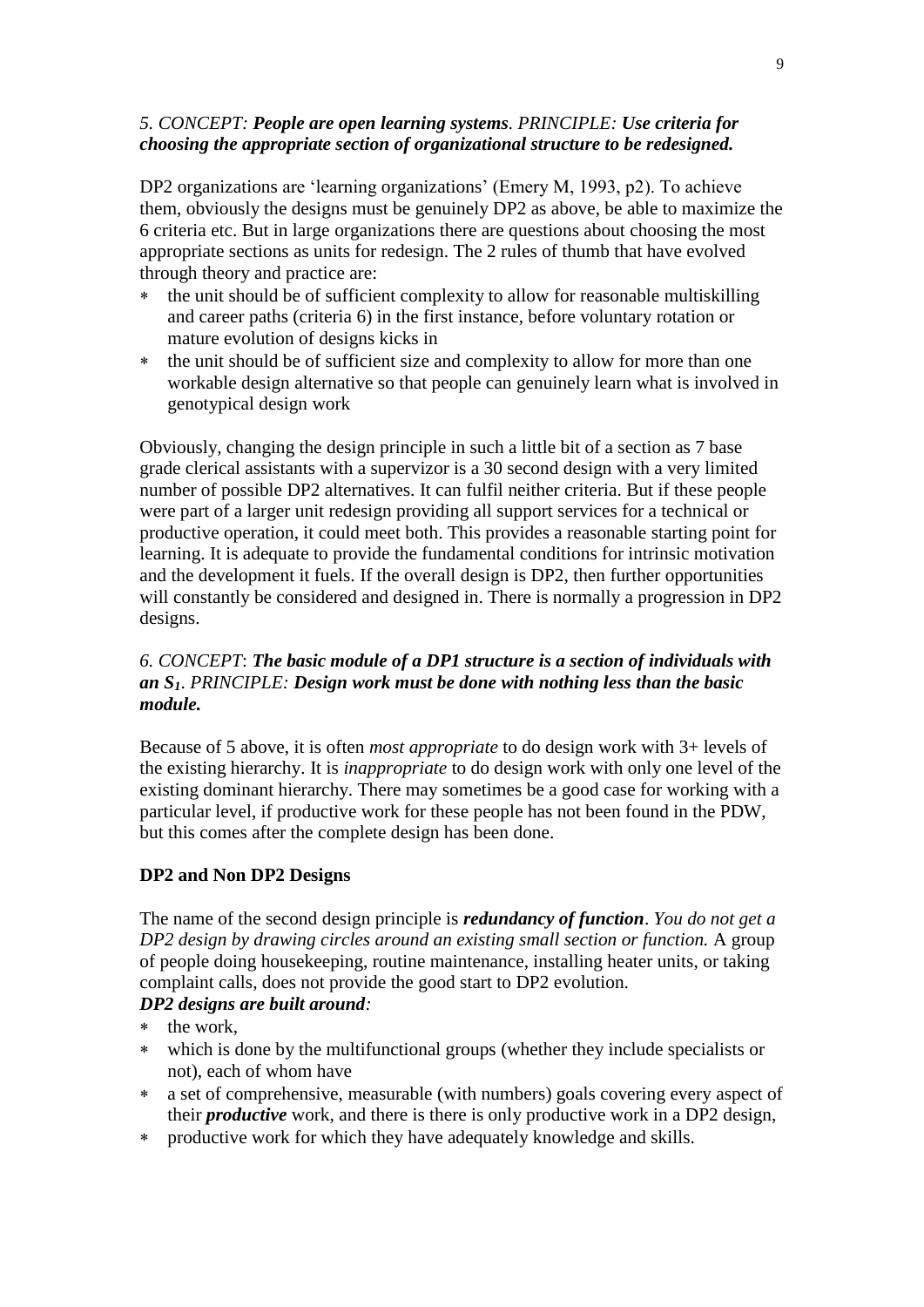## *5. CONCEPT: People are open learning systems. PRINCIPLE: Use criteria for choosing the appropriate section of organizational structure to be redesigned.*

DP2 organizations are 'learning organizations' (Emery M, 1993, p2). To achieve them, obviously the designs must be genuinely DP2 as above, be able to maximize the 6 criteria etc. But in large organizations there are questions about choosing the most appropriate sections as units for redesign. The 2 rules of thumb that have evolved through theory and practice are:

- the unit should be of sufficient complexity to allow for reasonable multiskilling and career paths (criteria 6) in the first instance, before voluntary rotation or mature evolution of designs kicks in
- the unit should be of sufficient size and complexity to allow for more than one workable design alternative so that people can genuinely learn what is involved in genotypical design work

Obviously, changing the design principle in such a little bit of a section as 7 base grade clerical assistants with a supervizor is a 30 second design with a very limited number of possible DP2 alternatives. It can fulfil neither criteria. But if these people were part of a larger unit redesign providing all support services for a technical or productive operation, it could meet both. This provides a reasonable starting point for learning. It is adequate to provide the fundamental conditions for intrinsic motivation and the development it fuels. If the overall design is DP2, then further opportunities will constantly be considered and designed in. There is normally a progression in DP2 designs.

# *6. CONCEPT*: *The basic module of a DP1 structure is a section of individuals with an S1*. *PRINCIPLE: Design work must be done with nothing less than the basic module.*

Because of 5 above, it is often *most appropriate* to do design work with 3+ levels of the existing hierarchy. It is *inappropriate* to do design work with only one level of the existing dominant hierarchy. There may sometimes be a good case for working with a particular level, if productive work for these people has not been found in the PDW, but this comes after the complete design has been done.

## **DP2 and Non DP2 Designs**

The name of the second design principle is *redundancy of function*. *You do not get a DP2 design by drawing circles around an existing small section or function.* A group of people doing housekeeping, routine maintenance, installing heater units, or taking complaint calls, does not provide the good start to DP2 evolution.

# *DP2 designs are built around:*

- the work,
- which is done by the multifunctional groups (whether they include specialists or not), each of whom have
- a set of comprehensive, measurable (with numbers) goals covering every aspect of their *productive* work, and there is there is only productive work in a DP2 design,
- productive work for which they have adequately knowledge and skills.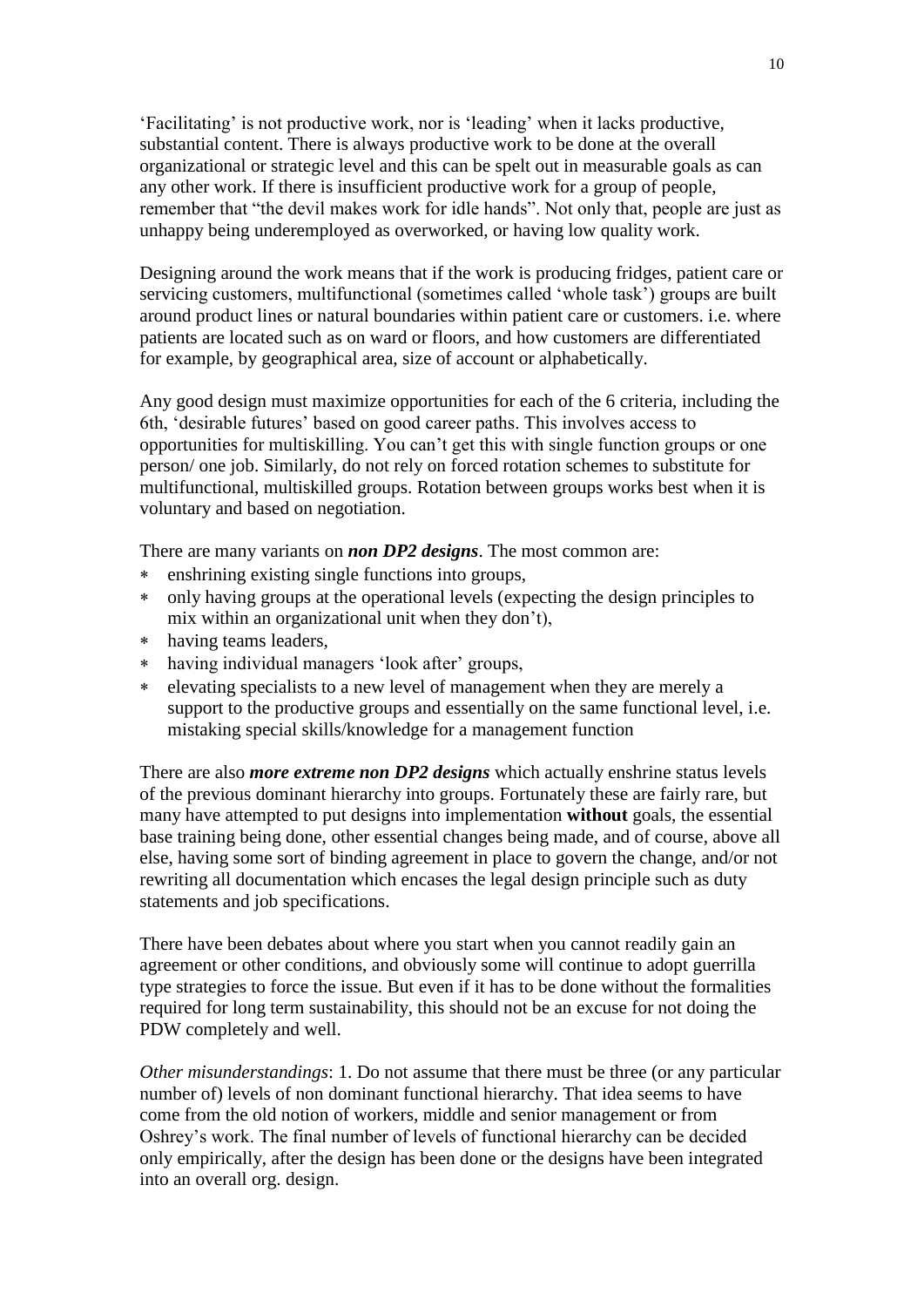'Facilitating' is not productive work, nor is 'leading' when it lacks productive, substantial content. There is always productive work to be done at the overall organizational or strategic level and this can be spelt out in measurable goals as can any other work. If there is insufficient productive work for a group of people, remember that "the devil makes work for idle hands". Not only that, people are just as unhappy being underemployed as overworked, or having low quality work.

Designing around the work means that if the work is producing fridges, patient care or servicing customers, multifunctional (sometimes called 'whole task') groups are built around product lines or natural boundaries within patient care or customers. i.e. where patients are located such as on ward or floors, and how customers are differentiated for example, by geographical area, size of account or alphabetically.

Any good design must maximize opportunities for each of the 6 criteria, including the 6th, 'desirable futures' based on good career paths. This involves access to opportunities for multiskilling. You can't get this with single function groups or one person/ one job. Similarly, do not rely on forced rotation schemes to substitute for multifunctional, multiskilled groups. Rotation between groups works best when it is voluntary and based on negotiation.

There are many variants on *non DP2 designs*. The most common are:

- enshrining existing single functions into groups,
- only having groups at the operational levels (expecting the design principles to mix within an organizational unit when they don't),
- having teams leaders,
- having individual managers 'look after' groups,
- elevating specialists to a new level of management when they are merely a support to the productive groups and essentially on the same functional level, i.e. mistaking special skills/knowledge for a management function

There are also *more extreme non DP2 designs* which actually enshrine status levels of the previous dominant hierarchy into groups. Fortunately these are fairly rare, but many have attempted to put designs into implementation **without** goals, the essential base training being done, other essential changes being made, and of course, above all else, having some sort of binding agreement in place to govern the change, and/or not rewriting all documentation which encases the legal design principle such as duty statements and job specifications.

There have been debates about where you start when you cannot readily gain an agreement or other conditions, and obviously some will continue to adopt guerrilla type strategies to force the issue. But even if it has to be done without the formalities required for long term sustainability, this should not be an excuse for not doing the PDW completely and well.

*Other misunderstandings*: 1. Do not assume that there must be three (or any particular number of) levels of non dominant functional hierarchy. That idea seems to have come from the old notion of workers, middle and senior management or from Oshrey's work. The final number of levels of functional hierarchy can be decided only empirically, after the design has been done or the designs have been integrated into an overall org. design.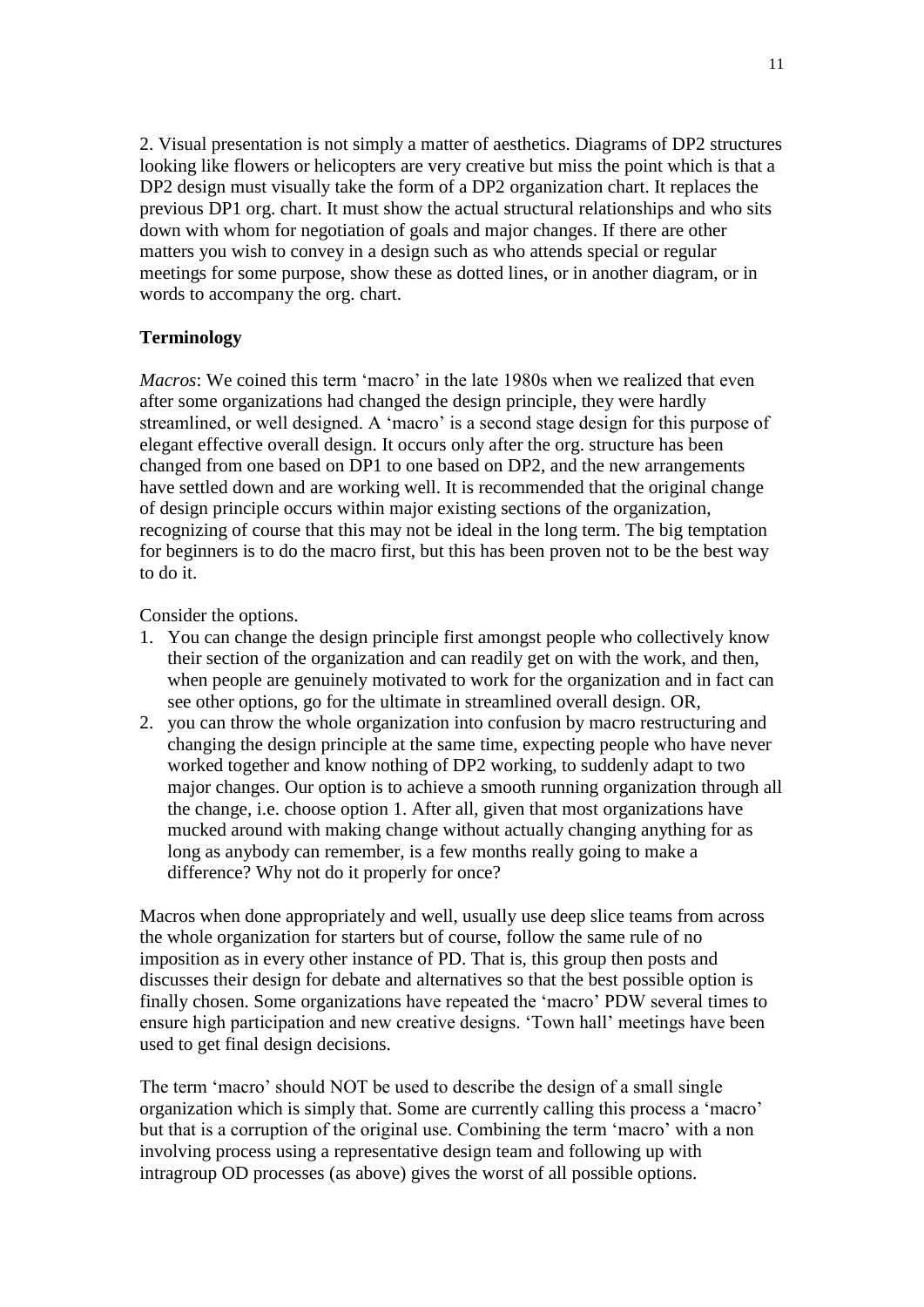2. Visual presentation is not simply a matter of aesthetics. Diagrams of DP2 structures looking like flowers or helicopters are very creative but miss the point which is that a DP2 design must visually take the form of a DP2 organization chart. It replaces the previous DP1 org. chart. It must show the actual structural relationships and who sits down with whom for negotiation of goals and major changes. If there are other matters you wish to convey in a design such as who attends special or regular meetings for some purpose, show these as dotted lines, or in another diagram, or in words to accompany the org. chart.

## **Terminology**

*Macros*: We coined this term 'macro' in the late 1980s when we realized that even after some organizations had changed the design principle, they were hardly streamlined, or well designed. A 'macro' is a second stage design for this purpose of elegant effective overall design. It occurs only after the org. structure has been changed from one based on DP1 to one based on DP2, and the new arrangements have settled down and are working well. It is recommended that the original change of design principle occurs within major existing sections of the organization, recognizing of course that this may not be ideal in the long term. The big temptation for beginners is to do the macro first, but this has been proven not to be the best way to do it.

Consider the options.

- 1. You can change the design principle first amongst people who collectively know their section of the organization and can readily get on with the work, and then, when people are genuinely motivated to work for the organization and in fact can see other options, go for the ultimate in streamlined overall design. OR,
- 2. you can throw the whole organization into confusion by macro restructuring and changing the design principle at the same time, expecting people who have never worked together and know nothing of DP2 working, to suddenly adapt to two major changes. Our option is to achieve a smooth running organization through all the change, i.e. choose option 1. After all, given that most organizations have mucked around with making change without actually changing anything for as long as anybody can remember, is a few months really going to make a difference? Why not do it properly for once?

Macros when done appropriately and well, usually use deep slice teams from across the whole organization for starters but of course, follow the same rule of no imposition as in every other instance of PD. That is, this group then posts and discusses their design for debate and alternatives so that the best possible option is finally chosen. Some organizations have repeated the 'macro' PDW several times to ensure high participation and new creative designs. 'Town hall' meetings have been used to get final design decisions.

The term 'macro' should NOT be used to describe the design of a small single organization which is simply that. Some are currently calling this process a 'macro' but that is a corruption of the original use. Combining the term 'macro' with a non involving process using a representative design team and following up with intragroup OD processes (as above) gives the worst of all possible options.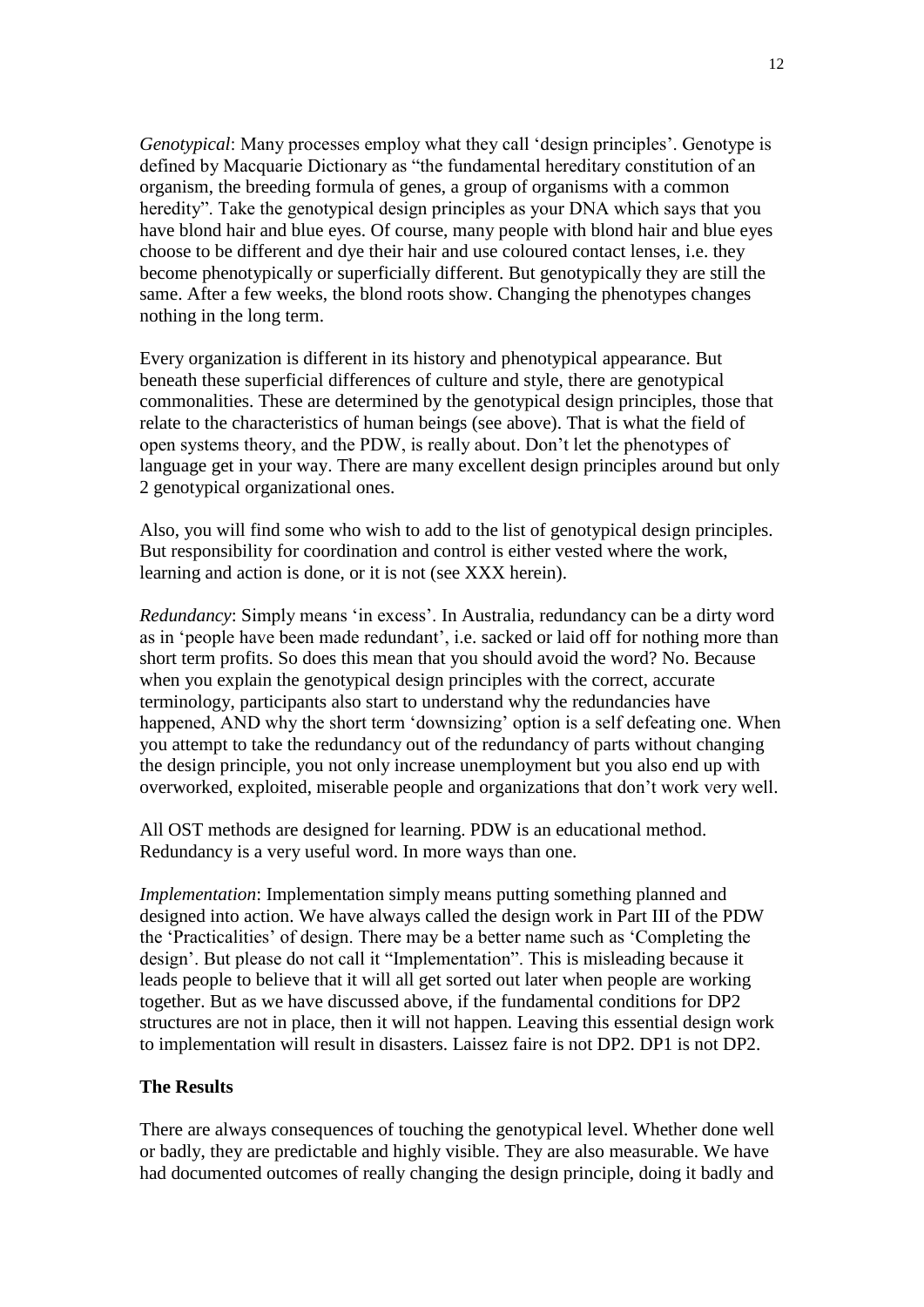*Genotypical*: Many processes employ what they call 'design principles'. Genotype is defined by Macquarie Dictionary as "the fundamental hereditary constitution of an organism, the breeding formula of genes, a group of organisms with a common heredity". Take the genotypical design principles as your DNA which says that you have blond hair and blue eyes. Of course, many people with blond hair and blue eyes choose to be different and dye their hair and use coloured contact lenses, i.e. they become phenotypically or superficially different. But genotypically they are still the same. After a few weeks, the blond roots show. Changing the phenotypes changes nothing in the long term.

Every organization is different in its history and phenotypical appearance. But beneath these superficial differences of culture and style, there are genotypical commonalities. These are determined by the genotypical design principles, those that relate to the characteristics of human beings (see above). That is what the field of open systems theory, and the PDW, is really about. Don't let the phenotypes of language get in your way. There are many excellent design principles around but only 2 genotypical organizational ones.

Also, you will find some who wish to add to the list of genotypical design principles. But responsibility for coordination and control is either vested where the work, learning and action is done, or it is not (see XXX herein).

*Redundancy*: Simply means 'in excess'. In Australia, redundancy can be a dirty word as in 'people have been made redundant', i.e. sacked or laid off for nothing more than short term profits. So does this mean that you should avoid the word? No. Because when you explain the genotypical design principles with the correct, accurate terminology, participants also start to understand why the redundancies have happened, AND why the short term 'downsizing' option is a self defeating one. When you attempt to take the redundancy out of the redundancy of parts without changing the design principle, you not only increase unemployment but you also end up with overworked, exploited, miserable people and organizations that don't work very well.

All OST methods are designed for learning. PDW is an educational method. Redundancy is a very useful word. In more ways than one.

*Implementation*: Implementation simply means putting something planned and designed into action. We have always called the design work in Part III of the PDW the 'Practicalities' of design. There may be a better name such as 'Completing the design'. But please do not call it "Implementation". This is misleading because it leads people to believe that it will all get sorted out later when people are working together. But as we have discussed above, if the fundamental conditions for DP2 structures are not in place, then it will not happen. Leaving this essential design work to implementation will result in disasters. Laissez faire is not DP2. DP1 is not DP2.

## **The Results**

There are always consequences of touching the genotypical level. Whether done well or badly, they are predictable and highly visible. They are also measurable. We have had documented outcomes of really changing the design principle, doing it badly and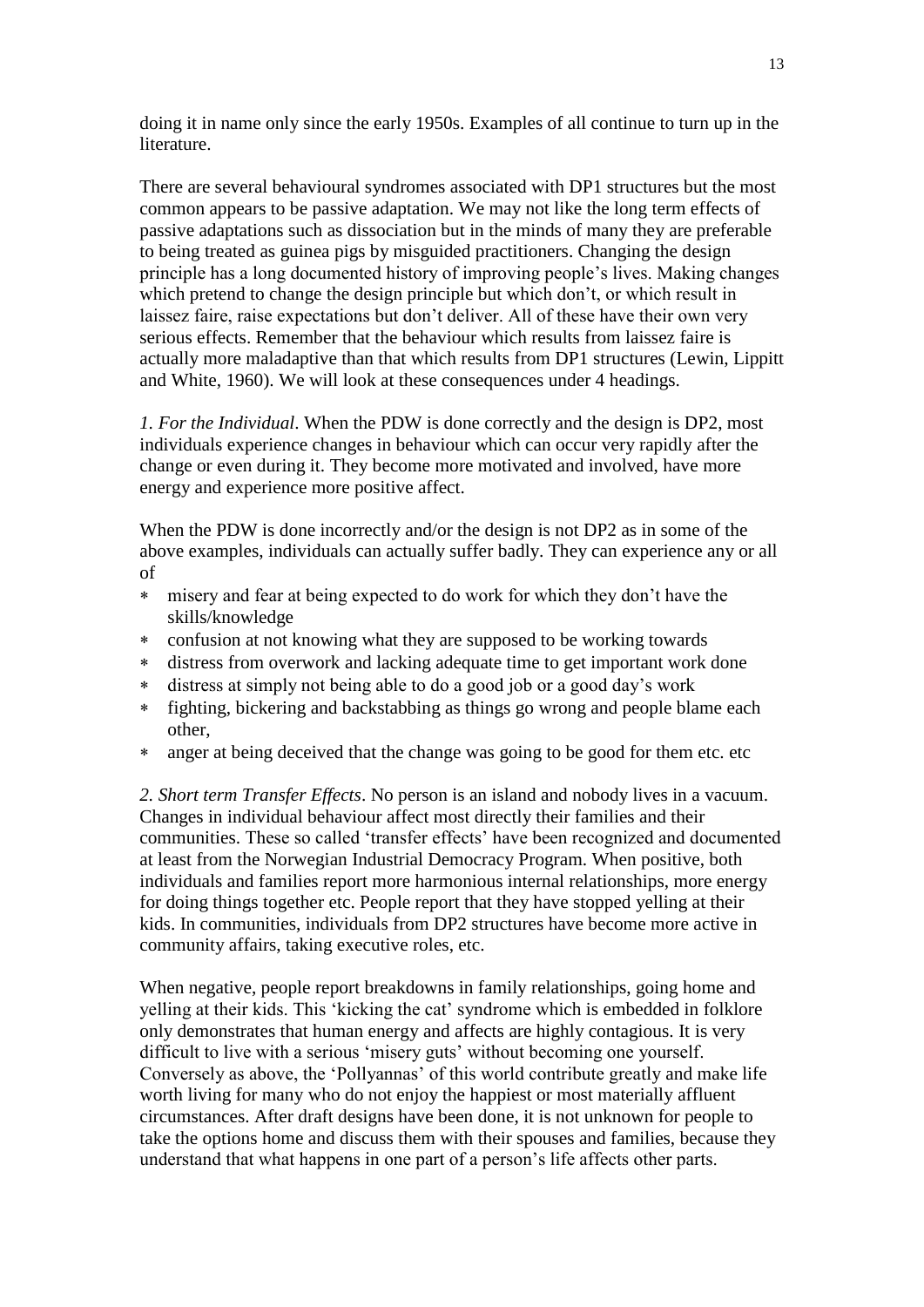doing it in name only since the early 1950s. Examples of all continue to turn up in the literature.

There are several behavioural syndromes associated with DP1 structures but the most common appears to be passive adaptation. We may not like the long term effects of passive adaptations such as dissociation but in the minds of many they are preferable to being treated as guinea pigs by misguided practitioners. Changing the design principle has a long documented history of improving people's lives. Making changes which pretend to change the design principle but which don't, or which result in laissez faire, raise expectations but don't deliver. All of these have their own very serious effects. Remember that the behaviour which results from laissez faire is actually more maladaptive than that which results from DP1 structures (Lewin, Lippitt and White, 1960). We will look at these consequences under 4 headings.

*1. For the Individual*. When the PDW is done correctly and the design is DP2, most individuals experience changes in behaviour which can occur very rapidly after the change or even during it. They become more motivated and involved, have more energy and experience more positive affect.

When the PDW is done incorrectly and/or the design is not DP2 as in some of the above examples, individuals can actually suffer badly. They can experience any or all of

- misery and fear at being expected to do work for which they don't have the skills/knowledge
- confusion at not knowing what they are supposed to be working towards
- distress from overwork and lacking adequate time to get important work done
- distress at simply not being able to do a good job or a good day's work
- fighting, bickering and backstabbing as things go wrong and people blame each other,
- anger at being deceived that the change was going to be good for them etc. etc

*2. Short term Transfer Effects*. No person is an island and nobody lives in a vacuum. Changes in individual behaviour affect most directly their families and their communities. These so called 'transfer effects' have been recognized and documented at least from the Norwegian Industrial Democracy Program. When positive, both individuals and families report more harmonious internal relationships, more energy for doing things together etc. People report that they have stopped yelling at their kids. In communities, individuals from DP2 structures have become more active in community affairs, taking executive roles, etc.

When negative, people report breakdowns in family relationships, going home and yelling at their kids. This 'kicking the cat' syndrome which is embedded in folklore only demonstrates that human energy and affects are highly contagious. It is very difficult to live with a serious 'misery guts' without becoming one yourself. Conversely as above, the 'Pollyannas' of this world contribute greatly and make life worth living for many who do not enjoy the happiest or most materially affluent circumstances. After draft designs have been done, it is not unknown for people to take the options home and discuss them with their spouses and families, because they understand that what happens in one part of a person's life affects other parts.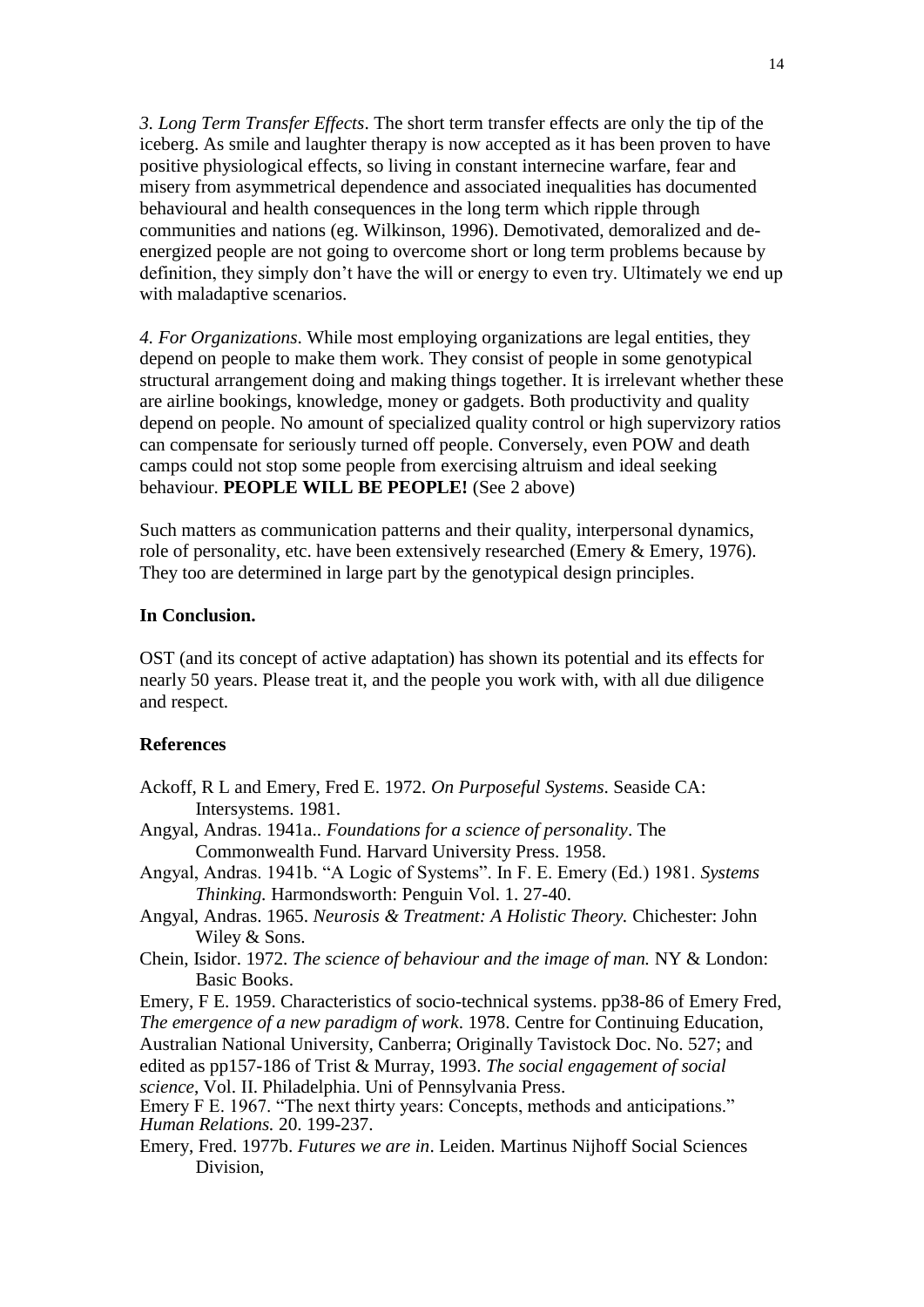*3. Long Term Transfer Effects*. The short term transfer effects are only the tip of the iceberg. As smile and laughter therapy is now accepted as it has been proven to have positive physiological effects, so living in constant internecine warfare, fear and misery from asymmetrical dependence and associated inequalities has documented behavioural and health consequences in the long term which ripple through communities and nations (eg. Wilkinson, 1996). Demotivated, demoralized and deenergized people are not going to overcome short or long term problems because by definition, they simply don't have the will or energy to even try. Ultimately we end up with maladaptive scenarios.

*4. For Organizations*. While most employing organizations are legal entities, they depend on people to make them work. They consist of people in some genotypical structural arrangement doing and making things together. It is irrelevant whether these are airline bookings, knowledge, money or gadgets. Both productivity and quality depend on people. No amount of specialized quality control or high supervizory ratios can compensate for seriously turned off people. Conversely, even POW and death camps could not stop some people from exercising altruism and ideal seeking behaviour. **PEOPLE WILL BE PEOPLE!** (See 2 above)

Such matters as communication patterns and their quality, interpersonal dynamics, role of personality, etc. have been extensively researched (Emery & Emery, 1976). They too are determined in large part by the genotypical design principles.

#### **In Conclusion.**

OST (and its concept of active adaptation) has shown its potential and its effects for nearly 50 years. Please treat it, and the people you work with, with all due diligence and respect.

### **References**

- Ackoff, R L and Emery, Fred E. 1972. *On Purposeful Systems*. Seaside CA: Intersystems. 1981.
- Angyal, Andras. 1941a.. *Foundations for a science of personality*. The Commonwealth Fund. Harvard University Press. 1958.
- Angyal, Andras. 1941b. "A Logic of Systems". In F. E. Emery (Ed.) 1981. *Systems Thinking.* Harmondsworth: Penguin Vol. 1. 27-40.
- Angyal, Andras. 1965. *Neurosis & Treatment: A Holistic Theory.* Chichester: John Wiley & Sons.
- Chein, Isidor. 1972. *The science of behaviour and the image of man.* NY & London: Basic Books.

Emery, F E. 1959. Characteristics of socio-technical systems. pp38-86 of Emery Fred, *The emergence of a new paradigm of work*. 1978. Centre for Continuing Education, Australian National University, Canberra; Originally Tavistock Doc. No. 527; and edited as pp157-186 of Trist & Murray, 1993. *The social engagement of social science*, Vol. II. Philadelphia. Uni of Pennsylvania Press.

Emery F E. 1967. "The next thirty years: Concepts, methods and anticipations." *Human Relations.* 20. 199-237.

Emery, Fred. 1977b. *Futures we are in*. Leiden. Martinus Nijhoff Social Sciences Division,